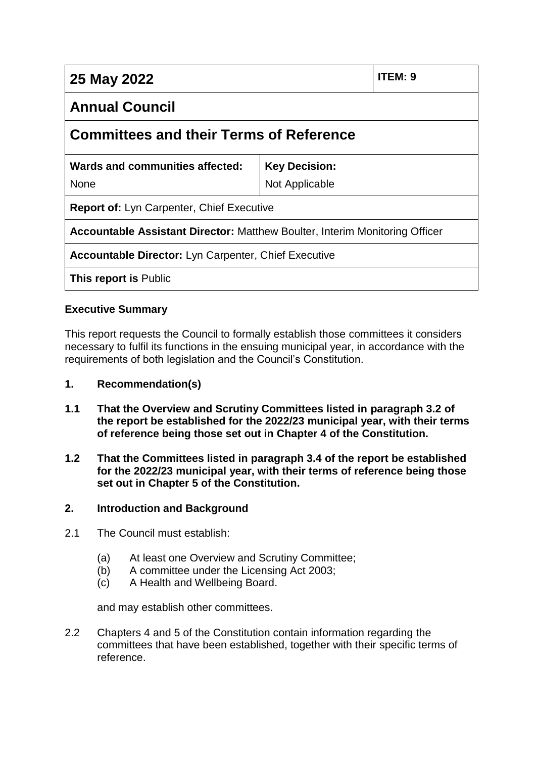| 25 May 2022                                                                        |                      | ITEM: 9 |
|------------------------------------------------------------------------------------|----------------------|---------|
| <b>Annual Council</b>                                                              |                      |         |
| <b>Committees and their Terms of Reference</b>                                     |                      |         |
| Wards and communities affected:                                                    | <b>Key Decision:</b> |         |
| <b>None</b>                                                                        | Not Applicable       |         |
| <b>Report of: Lyn Carpenter, Chief Executive</b>                                   |                      |         |
| <b>Accountable Assistant Director: Matthew Boulter, Interim Monitoring Officer</b> |                      |         |
| <b>Accountable Director:</b> Lyn Carpenter, Chief Executive                        |                      |         |
| <b>This report is Public</b>                                                       |                      |         |

# **Executive Summary**

This report requests the Council to formally establish those committees it considers necessary to fulfil its functions in the ensuing municipal year, in accordance with the requirements of both legislation and the Council's Constitution.

#### **1. Recommendation(s)**

- **1.1 That the Overview and Scrutiny Committees listed in paragraph 3.2 of the report be established for the 2022/23 municipal year, with their terms of reference being those set out in Chapter 4 of the Constitution.**
- **1.2 That the Committees listed in paragraph 3.4 of the report be established for the 2022/23 municipal year, with their terms of reference being those set out in Chapter 5 of the Constitution.**

#### **2. Introduction and Background**

- 2.1 The Council must establish:
	- (a) At least one Overview and Scrutiny Committee;
	- (b) A committee under the Licensing Act 2003;
	- (c) A Health and Wellbeing Board.

and may establish other committees.

2.2 Chapters 4 and 5 of the Constitution contain information regarding the committees that have been established, together with their specific terms of reference.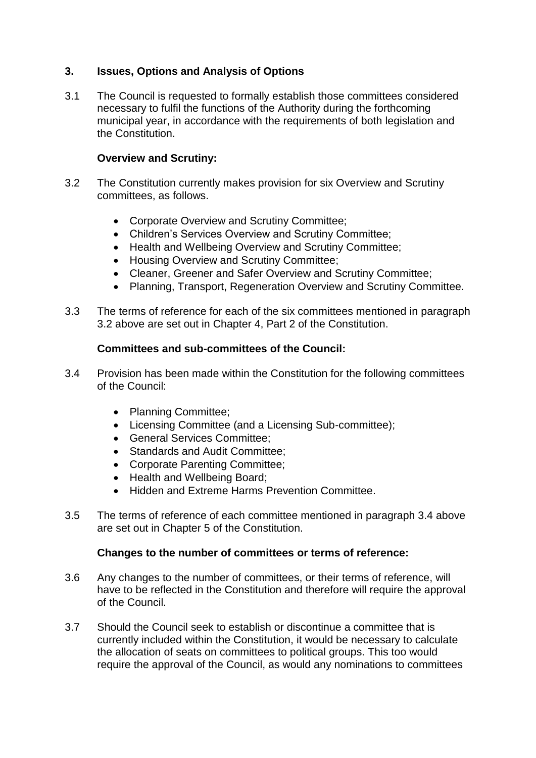# **3. Issues, Options and Analysis of Options**

3.1 The Council is requested to formally establish those committees considered necessary to fulfil the functions of the Authority during the forthcoming municipal year, in accordance with the requirements of both legislation and the Constitution.

#### **Overview and Scrutiny:**

- 3.2 The Constitution currently makes provision for six Overview and Scrutiny committees, as follows.
	- Corporate Overview and Scrutiny Committee;
	- Children's Services Overview and Scrutiny Committee;
	- Health and Wellbeing Overview and Scrutiny Committee;
	- Housing Overview and Scrutiny Committee;
	- Cleaner, Greener and Safer Overview and Scrutiny Committee;
	- Planning, Transport, Regeneration Overview and Scrutiny Committee.
- 3.3 The terms of reference for each of the six committees mentioned in paragraph 3.2 above are set out in Chapter 4, Part 2 of the Constitution.

#### **Committees and sub-committees of the Council:**

- 3.4 Provision has been made within the Constitution for the following committees of the Council:
	- Planning Committee;
	- Licensing Committee (and a Licensing Sub-committee);
	- General Services Committee;
	- Standards and Audit Committee:
	- Corporate Parenting Committee;
	- Health and Wellbeing Board;
	- **Hidden and Extreme Harms Prevention Committee.**
- 3.5 The terms of reference of each committee mentioned in paragraph 3.4 above are set out in Chapter 5 of the Constitution.

#### **Changes to the number of committees or terms of reference:**

- 3.6 Any changes to the number of committees, or their terms of reference, will have to be reflected in the Constitution and therefore will require the approval of the Council.
- 3.7 Should the Council seek to establish or discontinue a committee that is currently included within the Constitution, it would be necessary to calculate the allocation of seats on committees to political groups. This too would require the approval of the Council, as would any nominations to committees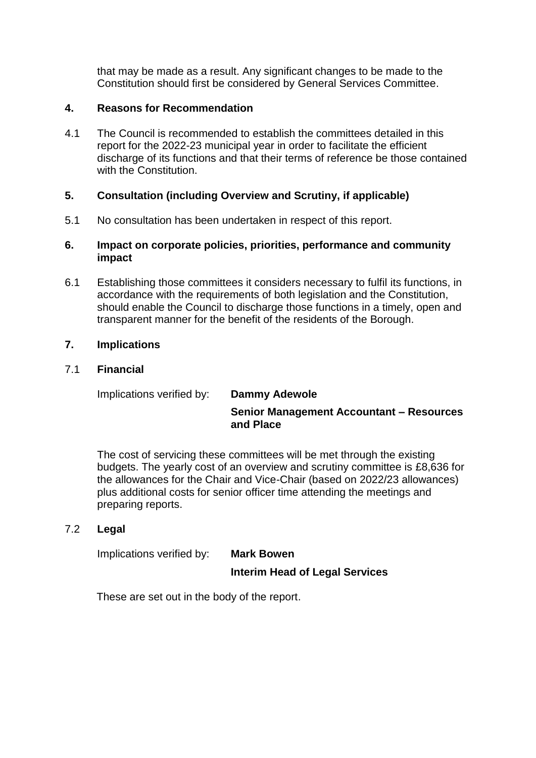that may be made as a result. Any significant changes to be made to the Constitution should first be considered by General Services Committee.

# **4. Reasons for Recommendation**

4.1 The Council is recommended to establish the committees detailed in this report for the 2022-23 municipal year in order to facilitate the efficient discharge of its functions and that their terms of reference be those contained with the Constitution.

# **5. Consultation (including Overview and Scrutiny, if applicable)**

5.1 No consultation has been undertaken in respect of this report.

#### **6. Impact on corporate policies, priorities, performance and community impact**

6.1 Establishing those committees it considers necessary to fulfil its functions, in accordance with the requirements of both legislation and the Constitution, should enable the Council to discharge those functions in a timely, open and transparent manner for the benefit of the residents of the Borough.

# **7. Implications**

# 7.1 **Financial**

Implications verified by: **Dammy Adewole**

# **Senior Management Accountant – Resources and Place**

The cost of servicing these committees will be met through the existing budgets. The yearly cost of an overview and scrutiny committee is £8,636 for the allowances for the Chair and Vice-Chair (based on 2022/23 allowances) plus additional costs for senior officer time attending the meetings and preparing reports.

# 7.2 **Legal**

Implications verified by: **Mark Bowen**

# **Interim Head of Legal Services**

These are set out in the body of the report.